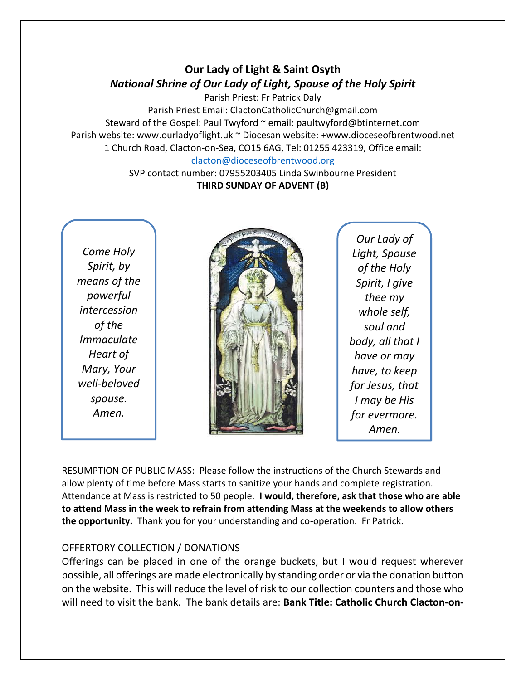## **Our Lady of Light & Saint Osyth** *National Shrine of Our Lady of Light, Spouse of the Holy Spirit*

Parish Priest: Fr Patrick Daly

Parish Priest Email: ClactonCatholicChurch@gmail.com Steward of the Gospel: Paul Twyford ~ email: paultwyford@btinternet.com Parish website: www.ourladyoflight.uk ~ Diocesan website: +www.dioceseofbrentwood.net 1 Church Road, Clacton-on-Sea, CO15 6AG, Tel: 01255 423319, Office email: [clacton@dioceseofbrentwood.org](mailto:clacton@dioceseofbrentwood.org)

SVP contact number: 07955203405 Linda Swinbourne President **THIRD SUNDAY OF ADVENT (B)**

*Come Holy Spirit, by means of the powerful intercession of the Immaculate Heart of Mary, Your well-beloved spouse. Amen.*



*Our Lady of Light, Spouse of the Holy Spirit, I give thee my whole self, soul and body, all that I have or may have, to keep for Jesus, that I may be His for evermore. Amen.*

RESUMPTION OF PUBLIC MASS: Please follow the instructions of the Church Stewards and allow plenty of time before Mass starts to sanitize your hands and complete registration. Attendance at Mass is restricted to 50 people. **I would, therefore, ask that those who are able to attend Mass in the week to refrain from attending Mass at the weekends to allow others the opportunity.** Thank you for your understanding and co-operation. Fr Patrick.

## OFFERTORY COLLECTION / DONATIONS

Offerings can be placed in one of the orange buckets, but I would request wherever possible, all offerings are made electronically by standing order or via the donation button on the website. This will reduce the level of risk to our collection counters and those who will need to visit the bank. The bank details are: **Bank Title: Catholic Church Clacton-on-**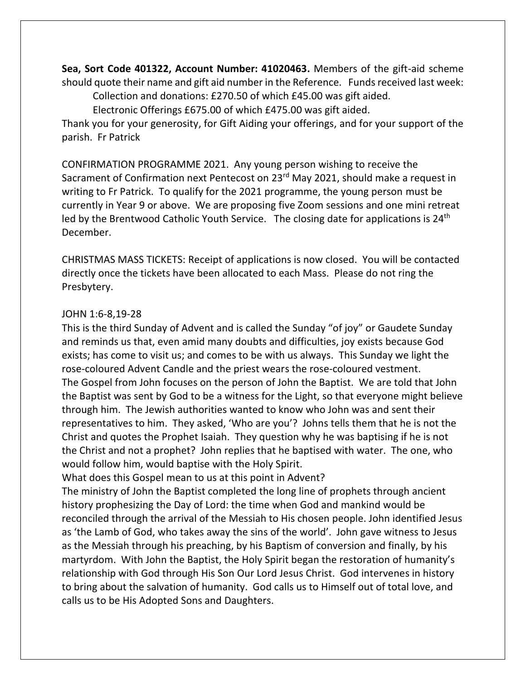**Sea, Sort Code 401322, Account Number: 41020463.** Members of the gift-aid scheme should quote their name and gift aid number in the Reference. Funds received last week: Collection and donations: £270.50 of which £45.00 was gift aided.

Electronic Offerings £675.00 of which £475.00 was gift aided.

Thank you for your generosity, for Gift Aiding your offerings, and for your support of the parish. Fr Patrick

CONFIRMATION PROGRAMME 2021. Any young person wishing to receive the Sacrament of Confirmation next Pentecost on 23<sup>rd</sup> May 2021, should make a request in writing to Fr Patrick. To qualify for the 2021 programme, the young person must be currently in Year 9 or above. We are proposing five Zoom sessions and one mini retreat led by the Brentwood Catholic Youth Service. The closing date for applications is  $24<sup>th</sup>$ December.

CHRISTMAS MASS TICKETS: Receipt of applications is now closed. You will be contacted directly once the tickets have been allocated to each Mass. Please do not ring the Presbytery.

## JOHN 1:6-8,19-28

This is the third Sunday of Advent and is called the Sunday "of joy" or Gaudete Sunday and reminds us that, even amid many doubts and difficulties, joy exists because God exists; has come to visit us; and comes to be with us always. This Sunday we light the rose-coloured Advent Candle and the priest wears the rose-coloured vestment. The Gospel from John focuses on the person of John the Baptist. We are told that John the Baptist was sent by God to be a witness for the Light, so that everyone might believe through him. The Jewish authorities wanted to know who John was and sent their representatives to him. They asked, 'Who are you'? Johns tells them that he is not the Christ and quotes the Prophet Isaiah. They question why he was baptising if he is not the Christ and not a prophet? John replies that he baptised with water. The one, who would follow him, would baptise with the Holy Spirit.

What does this Gospel mean to us at this point in Advent?

The ministry of John the Baptist completed the long line of prophets through ancient history prophesizing the Day of Lord: the time when God and mankind would be reconciled through the arrival of the Messiah to His chosen people. John identified Jesus as 'the Lamb of God, who takes away the sins of the world'. John gave witness to Jesus as the Messiah through his preaching, by his Baptism of conversion and finally, by his martyrdom. With John the Baptist, the Holy Spirit began the restoration of humanity's relationship with God through His Son Our Lord Jesus Christ. God intervenes in history to bring about the salvation of humanity. God calls us to Himself out of total love, and calls us to be His Adopted Sons and Daughters.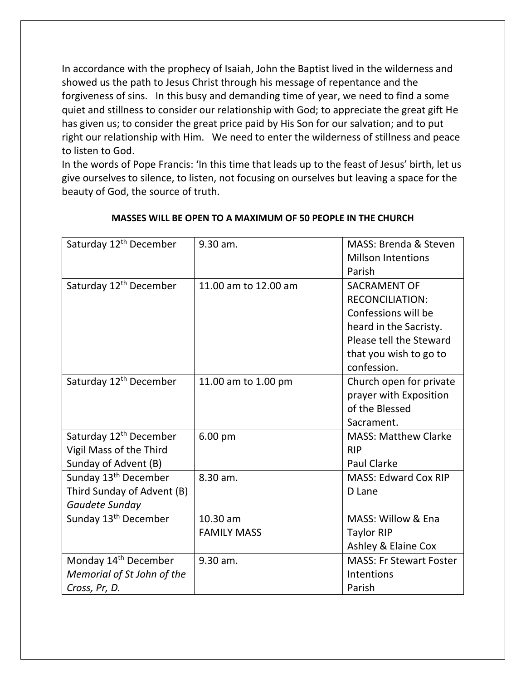In accordance with the prophecy of Isaiah, John the Baptist lived in the wilderness and showed us the path to Jesus Christ through his message of repentance and the forgiveness of sins. In this busy and demanding time of year, we need to find a some quiet and stillness to consider our relationship with God; to appreciate the great gift He has given us; to consider the great price paid by His Son for our salvation; and to put right our relationship with Him. We need to enter the wilderness of stillness and peace to listen to God.

In the words of Pope Francis: 'In this time that leads up to the feast of Jesus' birth, let us give ourselves to silence, to listen, not focusing on ourselves but leaving a space for the beauty of God, the source of truth.

| Saturday 12 <sup>th</sup> December | 9.30 am.             | MASS: Brenda & Steven          |
|------------------------------------|----------------------|--------------------------------|
|                                    |                      | <b>Millson Intentions</b>      |
|                                    |                      | Parish                         |
| Saturday 12 <sup>th</sup> December | 11.00 am to 12.00 am | <b>SACRAMENT OF</b>            |
|                                    |                      | <b>RECONCILIATION:</b>         |
|                                    |                      | Confessions will be            |
|                                    |                      | heard in the Sacristy.         |
|                                    |                      | Please tell the Steward        |
|                                    |                      | that you wish to go to         |
|                                    |                      | confession.                    |
| Saturday 12 <sup>th</sup> December | 11.00 am to 1.00 pm  | Church open for private        |
|                                    |                      | prayer with Exposition         |
|                                    |                      | of the Blessed                 |
|                                    |                      | Sacrament.                     |
| Saturday 12 <sup>th</sup> December | 6.00 pm              | <b>MASS: Matthew Clarke</b>    |
| Vigil Mass of the Third            |                      | <b>RIP</b>                     |
| Sunday of Advent (B)               |                      | <b>Paul Clarke</b>             |
| Sunday 13 <sup>th</sup> December   | 8.30 am.             | <b>MASS: Edward Cox RIP</b>    |
| Third Sunday of Advent (B)         |                      | D Lane                         |
| Gaudete Sunday                     |                      |                                |
| Sunday 13 <sup>th</sup> December   | 10.30 am             | MASS: Willow & Ena             |
|                                    | <b>FAMILY MASS</b>   | <b>Taylor RIP</b>              |
|                                    |                      | Ashley & Elaine Cox            |
| Monday 14 <sup>th</sup> December   | 9.30 am.             | <b>MASS: Fr Stewart Foster</b> |
| Memorial of St John of the         |                      | Intentions                     |
| Cross, Pr, D.                      |                      | Parish                         |

## **MASSES WILL BE OPEN TO A MAXIMUM OF 50 PEOPLE IN THE CHURCH**